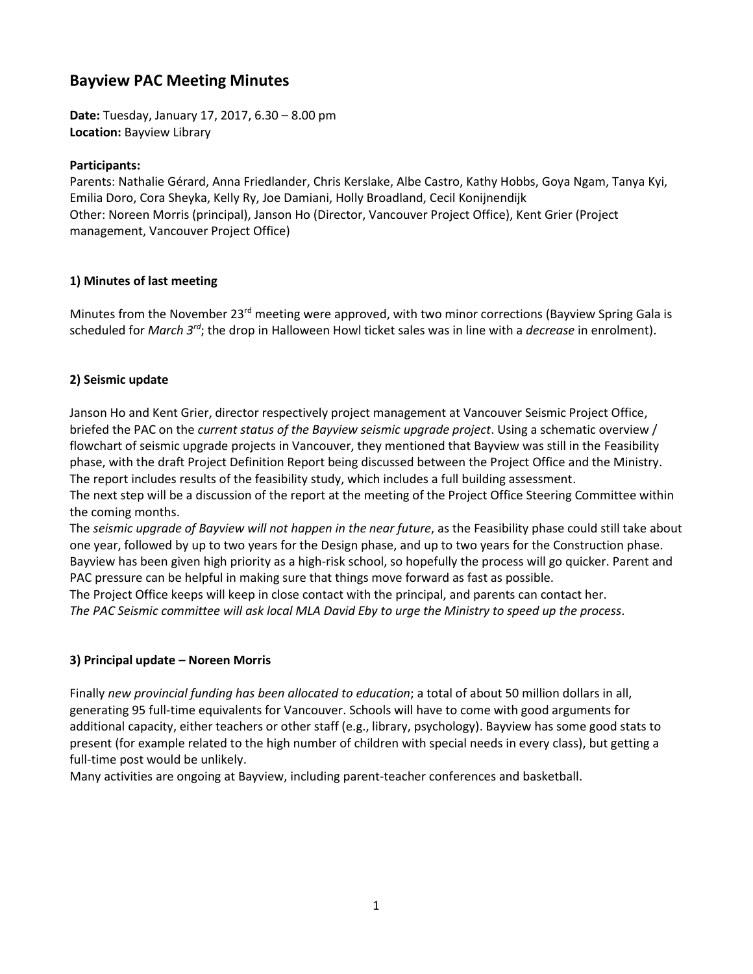# **Bayview PAC Meeting Minutes**

**Date:** Tuesday, January 17, 2017, 6.30 – 8.00 pm **Location:** Bayview Library

#### **Participants:**

Parents: Nathalie Gérard, Anna Friedlander, Chris Kerslake, Albe Castro, Kathy Hobbs, Goya Ngam, Tanya Kyi, Emilia Doro, Cora Sheyka, Kelly Ry, Joe Damiani, Holly Broadland, Cecil Konijnendijk Other: Noreen Morris (principal), Janson Ho (Director, Vancouver Project Office), Kent Grier (Project management, Vancouver Project Office)

#### **1) Minutes of last meeting**

Minutes from the November 23<sup>rd</sup> meeting were approved, with two minor corrections (Bayview Spring Gala is scheduled for *March 3rd*; the drop in Halloween Howl ticket sales was in line with a *decrease* in enrolment).

#### **2) Seismic update**

Janson Ho and Kent Grier, director respectively project management at Vancouver Seismic Project Office, briefed the PAC on the *current status of the Bayview seismic upgrade project*. Using a schematic overview / flowchart of seismic upgrade projects in Vancouver, they mentioned that Bayview was still in the Feasibility phase, with the draft Project Definition Report being discussed between the Project Office and the Ministry. The report includes results of the feasibility study, which includes a full building assessment.

The next step will be a discussion of the report at the meeting of the Project Office Steering Committee within the coming months.

The *seismic upgrade of Bayview will not happen in the near future*, as the Feasibility phase could still take about one year, followed by up to two years for the Design phase, and up to two years for the Construction phase. Bayview has been given high priority as a high-risk school, so hopefully the process will go quicker. Parent and PAC pressure can be helpful in making sure that things move forward as fast as possible.

The Project Office keeps will keep in close contact with the principal, and parents can contact her. *The PAC Seismic committee will ask local MLA David Eby to urge the Ministry to speed up the process*.

#### **3) Principal update – Noreen Morris**

Finally *new provincial funding has been allocated to education*; a total of about 50 million dollars in all, generating 95 full-time equivalents for Vancouver. Schools will have to come with good arguments for additional capacity, either teachers or other staff (e.g., library, psychology). Bayview has some good stats to present (for example related to the high number of children with special needs in every class), but getting a full-time post would be unlikely.

Many activities are ongoing at Bayview, including parent-teacher conferences and basketball.